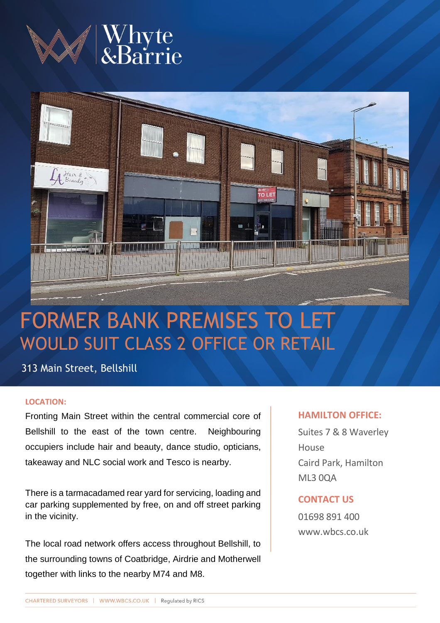



# FORMER BANK PREMISES TO LET WOULD SUIT CLASS 2 OFFICE OR RETAIL

313 Main Street, Bellshill

# **LOCATION:**

Fronting Main Street within the central commercial core of Bellshill to the east of the town centre. Neighbouring occupiers include hair and beauty, dance studio, opticians, takeaway and NLC social work and Tesco is nearby.

There is a tarmacadamed rear yard for servicing, loading and car parking supplemented by free, on and off street parking in the vicinity.

The local road network offers access throughout Bellshill, to the surrounding towns of Coatbridge, Airdrie and Motherwell together with links to the nearby M74 and M8.

# **HAMILTON OFFICE:**

Suites 7 & 8 Waverley **House** Caird Park, Hamilton ML3 0QA

# **CONTACT US**

01698 891 400 www.wbcs.co.uk